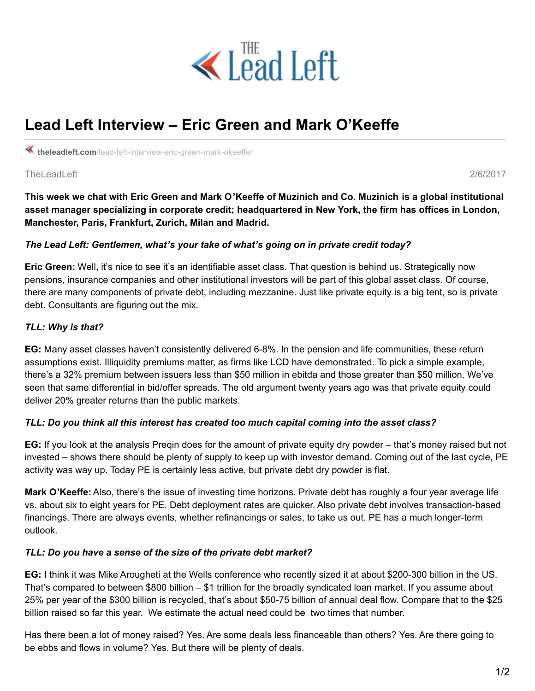

# **Lead Left Interview – Eric Green and Mark O'Keeffe**

**theleadleft.com**[/lead-left-interview-eric-green-mark-okeeffe/](https://www.theleadleft.com/lead-left-interview-eric-green-mark-okeeffe/)

TheLeadLeft 2/6/2017

This week we chat with Eric Green and Mark O'Keeffe of Muzinich and Co. Muzinich is a global institutional **asset manager specializing in corporate credit; headquartered in New York, the firm has offices in London, Manchester, Paris, Frankfurt, Zurich, Milan and Madrid.**

## *The Lead Left: Gentlemen, what's your take of what's going on in private credit today?*

**Eric Green:** Well, it's nice to see it's an identifiable asset class. That question is behind us. Strategically now pensions, insurance companies and other institutional investors will be part of this global asset class. Of course, there are many components of private debt, including mezzanine. Just like private equity is a big tent, so is private debt. Consultants are figuring out the mix.

## *TLL: Why is that?*

**EG:** Many asset classes haven't consistently delivered 6-8%. In the pension and life communities, these return assumptions exist. Illiquidity premiums matter, as firms like LCD have demonstrated. To pick a simple example, there's a 32% premium between issuers less than \$50 million in ebitda and those greater than \$50 million. We've seen that same differential in bid/offer spreads. The old argument twenty years ago was that private equity could deliver 20% greater returns than the public markets.

## *TLL: Do you think all this interest has created too much capital coming into the asset class?*

**EG:** If you look at the analysis Preqin does for the amount of private equity dry powder – that's money raised but not invested – shows there should be plenty of supply to keep up with investor demand. Coming out of the last cycle, PE activity was way up. Today PE is certainly less active, but private debt dry powder is flat.

**Mark O'Keeffe:** Also, there's the issue of investing time horizons. Private debt has roughly a four year average life vs. about six to eight years for PE. Debt deployment rates are quicker. Also private debt involves transaction-based financings. There are always events, whether refinancings or sales, to take us out. PE has a much longer-term outlook.

## *TLL: Do you have a sense of the size of the private debt market?*

**EG:** I think it was Mike Arougheti at the Wells conference who recently sized it at about \$200-300 billion in the US. That's compared to between \$800 billion – \$1 trillion for the broadly syndicated loan market. If you assume about 25% per year of the \$300 billion is recycled, that's about \$50-75 billion of annual deal flow. Compare that to the \$25 billion raised so far this year. We estimate the actual need could be two times that number.

Has there been a lot of money raised? Yes. Are some deals less financeable than others? Yes. Are there going to be ebbs and flows in volume? Yes. But there will be plenty of deals.